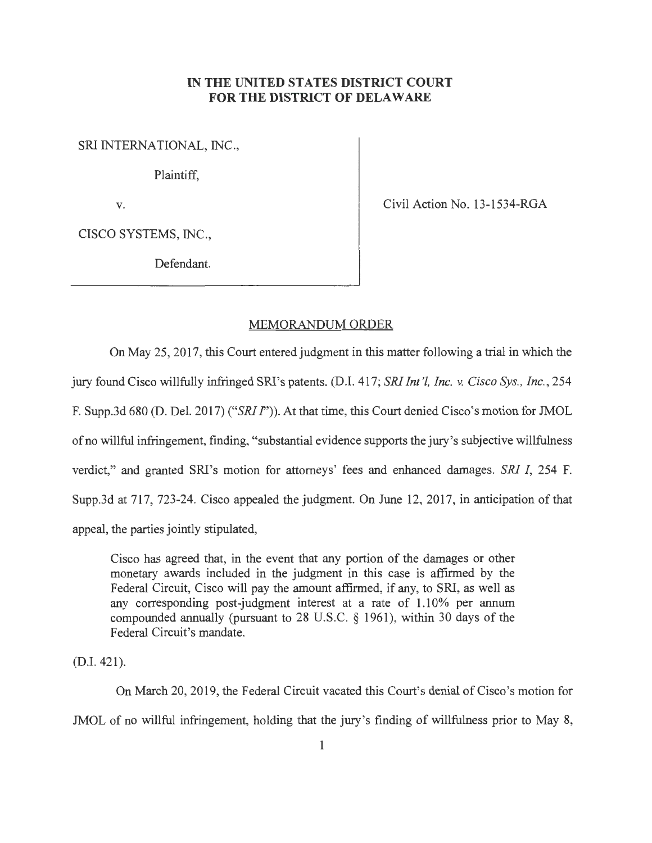## **IN THE UNITED STATES DISTRICT COURT FOR THE DISTRICT OF DELAWARE**

SRI INTERNATIONAL, INC.,

Plaintiff,

V.

Civil Action No. 13-1534-RGA

CISCO SYSTEMS, INC.,

Defendant.

## MEMORANDUM ORDER

On May 25, 2017, this Court entered judgment in this matter following a trial in which the jury found Cisco willfully infringed SRI's patents. (D.I. 417; *SRI Int '!, Inc.* v. *Cisco Sys. , Inc. ,* 254 F. Supp.3d 680 (D. Del. 2017) *("SRI* I")). At that time, this Court denied Cisco's motion for JMOL ofno willful infringement, finding, "substantial evidence supports the jury's subjective willfulness verdict," and granted SRI's motion for attorneys' fees and enhanced damages. *SRI I,* 254 F. Supp.3d at 717, 723-24. Cisco appealed the judgment. On June 12, 2017, in anticipation of that appeal, the parties jointly stipulated,

Cisco has agreed that, in the event that any portion of the damages or other monetary awards included in the judgment in this case is affirmed by the Federal Circuit, Cisco will pay the amount affirmed, if any, to SRI, as well as any corresponding post-judgment interest at a rate of 1.10% per annum compounded annually (pursuant to 28 U.S.C. § 1961), within 30 days of the Federal Circuit's mandate.

(D.I. 421).

On March 20, 2019, the Federal Circuit vacated this Court's denial of Cisco's motion for JMOL of no willful infringement, holding that the jury's finding of willfulness prior to May 8,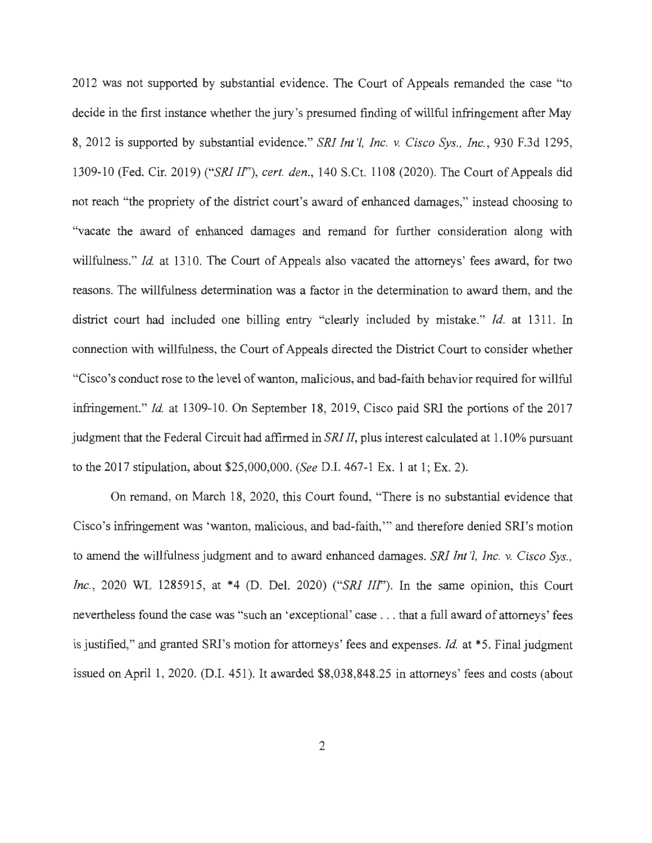2012 was not supported by substantial evidence. The Court of Appeals remanded the case "to decide in the first instance whether the jury's presumed finding of willful infringement after May 8, 2012 is supported by substantial evidence." *SRI Int '!, Inc.* v. *Cisco Sys. , Inc.,* 930 F.3d 1295, 1309-10 (Fed. Cir. 2019) *("SRI IF'), cert. den.,* 140 S.Ct. 1108 (2020). The Court of Appeals did not reach "the propriety of the district court's award of enhanced damages," instead choosing to "vacate the award of enhanced damages and remand for further consideration along with willfulness." *Id.* at 1310. The Court of Appeals also vacated the attorneys' fees award, for two reasons. The willfulness determination was a factor in the determination to award them, and the district court had included one billing entry "clearly included by mistake." *Id.* at 1311. In connection with willfulness, the Court of Appeals directed the District Court to consider whether "Cisco's conduct rose to the level of wanton, malicious, and bad-faith behavior required for willful infringement." *Id.* at 1309-10. On September 18, 2019, Cisco paid SRI the portions of the 2017 judgment that the Federal Circuit had affirmed in *SRI II,* plus interest calculated at 1.10% pursuant to the 2017 stipulation, about \$25,000,000. *(See* D.I. 467-1 Ex. 1 at 1; Ex. 2).

On remand, on March 18, 2020, this Court found, "There is no substantial evidence that Cisco's infringement was 'wanton, malicious, and bad-faith,"' and therefore denied SRJ's motion to amend the willfulness judgment and to award enhanced damages. *SRI Int '!, Inc. v. Cisco Sys., Inc.,* 2020 WL 1285915, at \*4 (D. Del. 2020) *("SRI III").* In the same opinion, this Court nevertheless found the case was "such an 'exceptional' case . . . that a full award of attorneys' fees is justified," and granted SRJ's motion for attorneys' fees and expenses. *Id.* at \*5. Final judgment issued on April 1, 2020. (D.I. 451). It awarded \$8,038,848.25 in attorneys' fees and costs (about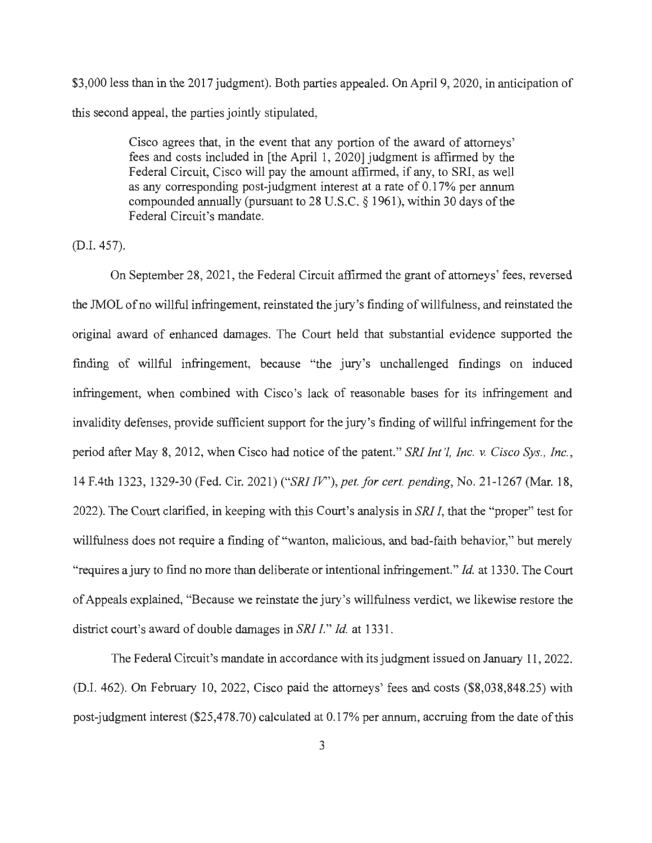\$3,000 less than in the 2017 judgment). Both parties appealed. On April 9, 2020, in anticipation of this second appeal, the parties jointly stipulated,

> Cisco agrees that, in the event that any portion of the award of attorneys' fees and costs included in [the April 1, 2020] judgment is affirmed by the Federal Circuit, Cisco will pay the amount affirmed, if any, to SRI, as well as any corresponding post-judgment interest at a rate of 0.17% per annum compounded annually (pursuant to 28 U.S.C. § 1961), within 30 days of the Federal Circuit's mandate.

(D.I. 457).

On September 28, 2021 , the Federal Circuit affirmed the grant of attorneys' fees, reversed the JMOL of no willful infringement, reinstated the jury's finding of willfulness, and reinstated the original award of enhanced damages. The Court held that substantial evidence supported the finding of willful infringement, because "the jury's unchallenged findings on induced infringement, when combined with Cisco's lack of reasonable bases for its infringement and invalidity defenses, provide sufficient support for the jury's finding of willful infringement for the period after May 8, 2012, when Cisco had notice of the patent." *SRI Int '!, Inc. v. Cisco Sys. , Inc.,*  14 F.4th 1323, 1329-30 (Fed. Cir. 2021 ) *("SRI IV''), pet.for cert. pending,* No. 21-1267 (Mar. 18, 2022). The Court clarified, in keeping with this Court's analysis in *SRI I,* that the "proper" test for willfulness does not require a finding of "wanton, malicious, and bad-faith behavior," but merely "requires a jury to find no more than deliberate or intentional infringement." *Id* at 1330. The Court of Appeals explained, "Because we reinstate the jury's willfulness verdict, we likewise restore the district court's award of double damages in *SRI* I." *Id* at 1331.

The Federal Circuit's mandate in accordance with its judgment issued on January 11 , 2022. (D.I. 462). On February 10, 2022, Cisco paid the attorneys' fees and costs (\$8,038,848.25) with post-judgment interest (\$25,478.70) calculated at 0.17% per annum, accruing from the date of this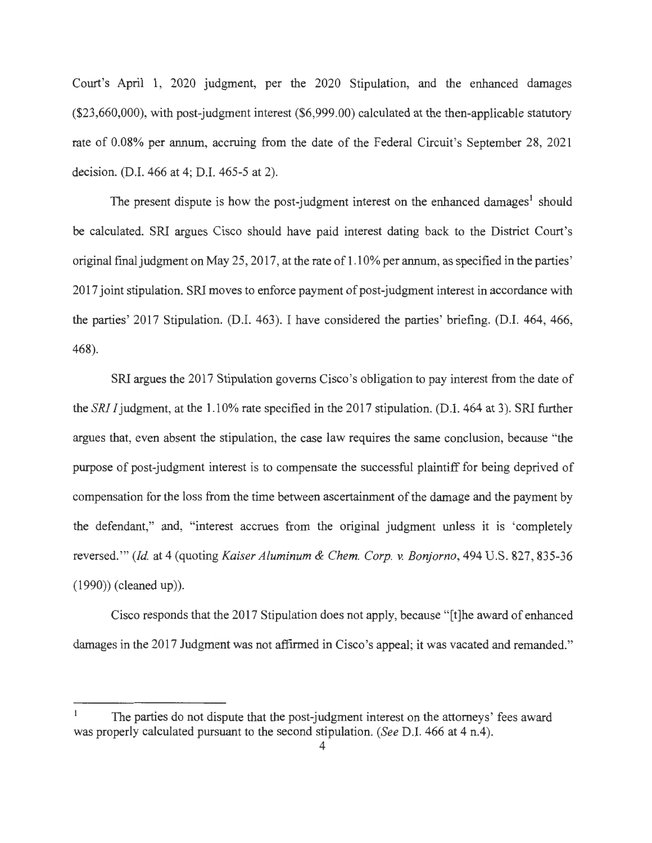Court's April 1, 2020 judgment, per the 2020 Stipulation, and the enhanced damages (\$23,660,000), with post-judgment interest (\$6,999.00) calculated at the then-applicable statutory rate of 0.08% per annum, accruing from the date of the Federal Circuit's September 28, 2021 decision. (D.I. 466 at 4; D.I. 465-5 at 2).

The present dispute is how the post-judgment interest on the enhanced damages<sup>1</sup> should be calculated. SRI argues Cisco should have paid interest dating back to the District Court's original final judgment on May 25, 2017, at the rate of 1.10% per annum, as specified in the parties' 2017 joint stipulation. SRI moves to enforce payment of post-judgment interest in accordance with the parties' 2017 Stipulation. (D.I. 463). I have considered the parties' briefing. (D.1. 464, 466, 468).

SRI argues the 2017 Stipulation governs Cisco's obligation to pay interest from the date of the *SRI I* judgment, at the 1.10% rate specified in the 2017 stipulation. (D.I. 464 at 3). SRI further argues that, even absent the stipulation, the case law requires the same conclusion, because "the purpose of post-judgment interest is to compensate the successful plaintiff for being deprived of compensation for the loss from the time between ascertainment of the damage and the payment by the defendant," and, "interest accrues from the original judgment unless it is 'completely reversed."' *(Id.* at 4 (quoting *Kaiser Aluminum & Chem. Corp. v. Bonjorno,* 494 U.S. 827, 835-36 (1990)) (cleaned up)).

Cisco responds that the 2017 Stipulation does not apply, because " [t]he award of enhanced damages in the 2017 Judgment was not affirmed in Cisco's appeal; it was vacated and remanded."

The parties do not dispute that the post-judgment interest on the attorneys' fees award was properly calculated pursuant to the second stipulation. *(See* D.I. 466 at 4 n.4).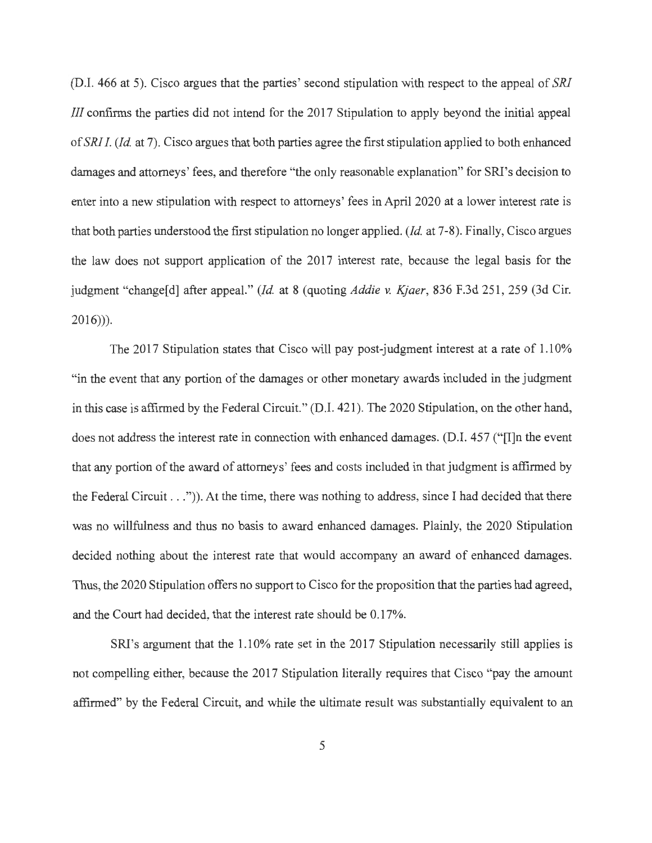(D.I. 466 at 5). Cisco argues that the parties' second stipulation with respect to the appeal of SRI Ill confirms the parties did not intend for the 2017 Stipulation to apply beyond the initial appeal of *SRI I. (Id.* at 7). Cisco argues that both parties agree the first stipulation applied to both enhanced damages and attorneys' fees, and therefore "the only reasonable explanation" for SRI's decision to enter into a new stipulation with respect to attorneys' fees in April 2020 at a lower interest rate is that both parties understood the first stipulation no longer applied. *(Id.* at 7-8). Finally, Cisco argues the law does not support application of the 2017 interest rate, because the legal basis for the judgment "change[d] after appeal." *(Id.* at 8 (quoting *Addie v. Kjaer,* 836 F.3d 251, 259 (3d Cir. 2016))).

The 2017 Stipulation states that Cisco will pay post-judgment interest at a rate of 1.10% "in the event that any portion of the damages or other monetary awards included in the judgment in this case is affirmed by the Federal Circuit." (D.I. 421). The 2020 Stipulation, on the other hand, does not address the interest rate in connection with enhanced damages. (D.I. 457 ("[I]n the event that any portion of the award of attorneys' fees and costs included in that judgment is affirmed by the Federal Circuit  $\dots$ ")). At the time, there was nothing to address, since I had decided that there was no willfulness and thus no basis to award enhanced damages. Plainly, the 2020 Stipulation decided nothing about the interest rate that would accompany an award of enhanced damages. Thus, the 2020 Stipulation offers no support to Cisco for the proposition that the parties had agreed, and the Court had decided, that the interest rate should be 0.17%.

SRI's argument that the 1.10% rate set in the 2017 Stipulation necessarily still applies is not compelling either, because the 2017 Stipulation literally requires that Cisco "pay the amount affirmed" by the Federal Circuit, and while the ultimate result was substantially equivalent to an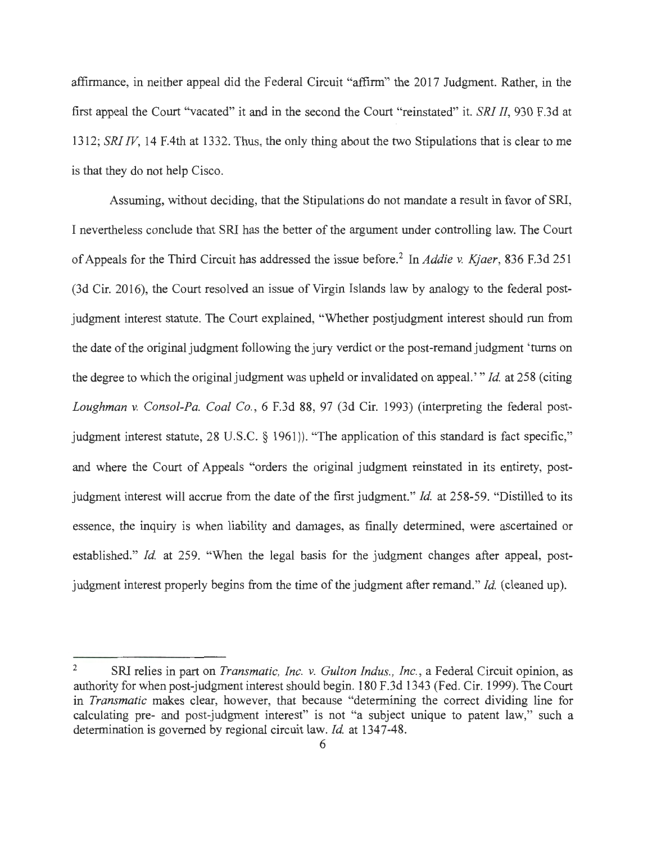affirmance, in neither appeal did the Federal Circuit "affirm" the 2017 Judgment. Rather, in the first appeal the Court "vacated" it and in the second the Court "reinstated" it. *SRI II,* 930 F.3d at 1312; *SRI IV,* 14 F.4th at 1332. Thus, the only thing about the two Stipulations that is clear to me is that they do not help Cisco.

Assuming, without deciding, that the Stipulations do not mandate a result in favor of SRI, I nevertheless conclude that SRI has the better of the argument under controlling law. The Court of Appeals for the Third Circuit has addressed the issue before.<sup>2</sup> In *Addie v. Kjaer*, 836 F.3d 251 (3d Cir. 2016), the Court resolved an issue of Virgin Islands law by analogy to the federal postjudgment interest statute. The Court explained, "Whether postjudgment interest should run from the date of the original judgment following the jury verdict or the post-remand judgment 'turns on the degree to which the original judgment was upheld or invalidated on appeal.' *" Id.* at 258 ( citing *Loughman v. Consol-Pa. Coal Co.,* 6 F.3d 88, 97 (3d Cir. 1993) (interpreting the federal postjudgment interest statute, 28 U.S.C. § 1961)). "The application of this standard is fact specific," and where the Court of Appeals "orders the original judgment reinstated in its entirety, postjudgment interest will accrue from the date of the first judgment." *Id.* at 258-59. "Distilled to its essence, the inquiry is when liability and damages, as finally determined, were ascertained or established." *Id.* at 259. "When the legal basis for the judgment changes after appeal, postjudgment interest properly begins from the time of the judgment after remand." *Id.* ( cleaned up).

<sup>&</sup>lt;sup>2</sup> SRI relies in part on *Transmatic, Inc. v. Gulton Indus., Inc.*, a Federal Circuit opinion, as authority for when post-judgment interest should begin. 180 F.3d 1343 (Fed. Cir. 1999). The Court in *Transmatic* makes clear, however, that because "determining the correct dividing line for calculating pre- and post-judgment interest" is not "a subject unique to patent law," such a determination is governed by regional circuit law. *Id.* at 1347-48.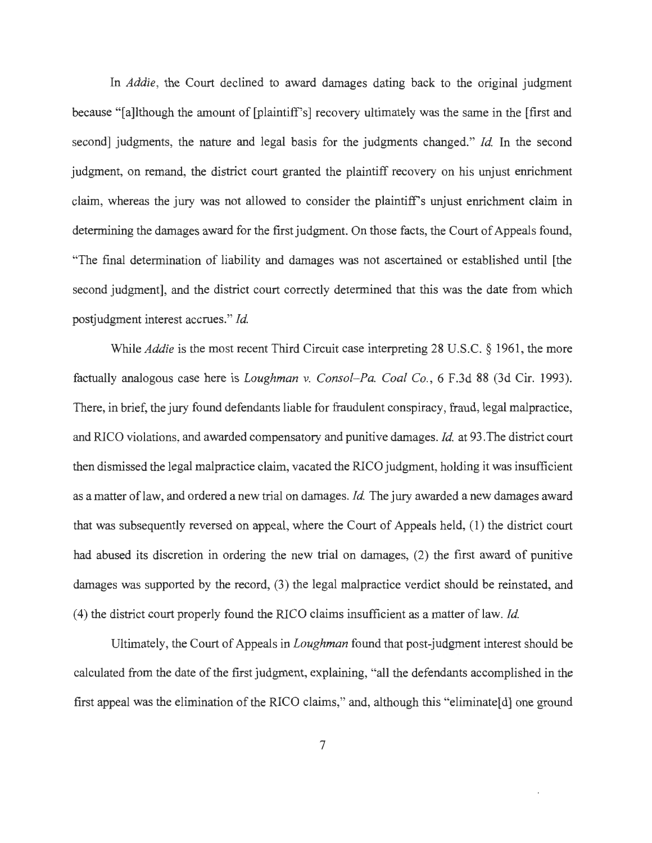In *Addie,* the Court declined to award damages dating back to the original judgment because "[a]lthough the amount of [plaintiff's] recovery ultimately was the same in the [first and second] judgments, the nature and legal basis for the judgments changed." *Id.* In the second judgment, on remand, the district court granted the plaintiff recovery on his unjust enrichment claim, whereas the jury was not allowed to consider the plaintiff's unjust enrichment claim in determining the damages award for the first judgment. On those facts, the Court of Appeals found, "The final determination of liability and damages was not ascertained or established until [the second judgment], and the district court correctly determined that this was the date from which postjudgment interest accrues." *Id.* 

While *Addie* is the most recent Third Circuit case interpreting 28 U.S.C. § 1961 , the more factually analogous case here is *Loughman v. Consol-Pa. Coal Co.*, 6 F.3d 88 (3d Cir. 1993). There, in brief, the jury found defendants liable for fraudulent conspiracy, fraud, legal malpractice, and RJCO violations, and awarded compensatory and punitive damages. *Id.* at 93.The district court then dismissed the legal malpractice claim, vacated the RJCO judgment, holding it was insufficient as a matter oflaw, and ordered a new trial on damages. *Id.* The jury awarded a new damages award that was subsequently reversed on appeal, where the Court of Appeals held, (1 ) the district court had abused its discretion in ordering the new trial on damages, (2) the first award of punitive damages was supported by the record, (3) the legal malpractice verdict should be reinstated, and (4) the district court properly found the RJCO claims insufficient as a matter oflaw. *Id.* 

Ultimately, the Court of Appeals in *Loughman* found that post-judgment interest should be calculated from the date of the first judgment, explaining, "all the defendants accomplished in the first appeal was the elimination of the RJCO claims," and, although this "eliminate[d] one ground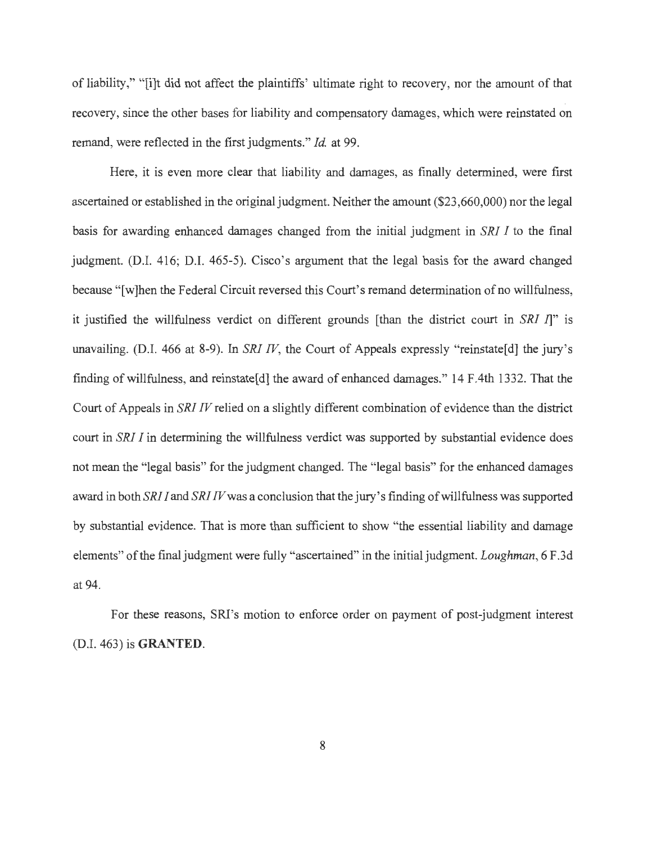of liability," " [i]t did not affect the plaintiffs' ultimate right to recovery, nor the amount of that recovery, since the other bases for liability and compensatory damages, which were reinstated on remand, were reflected in the first judgments." *Id.* at 99.

Here, it is even more clear that liability and damages, as finally determined, were first ascertained or established in the original judgment. Neither the amount (\$23,660,000) nor the legal basis for awarding enhanced damages changed from the initial judgment in *SRI I* to the final judgment. (D.I. 416; D.I. 465-5). Cisco's argument that the legal basis for the award changed because "[w]hen the Federal Circuit reversed this Court's remand determination of no willfulness, it justified the willfulness verdict on different grounds [than the district court in *SRI* I]" is unavailing. (D.I. 466 at 8-9). In *SRI IV*, the Court of Appeals expressly "reinstate[d] the jury's finding of willfulness, and reinstate[d] the award of enhanced damages." 14 F.4th 1332. That the Court of Appeals in *SRI IV* relied on a slightly different combination of evidence than the district court in *SRI I* in determining the willfulness verdict was supported by substantial evidence does not mean the "legal basis" for the judgment changed. The "legal basis" for the enhanced damages award in both *SRI I* and *SRI IV* was a conclusion that the jury's finding of willfulness was supported by substantial evidence. That is more than sufficient to show "the essential liability and damage elements" of the final judgment were fully "ascertained" in the initial judgment. *Loughman,* 6 F.3d at 94.

For these reasons, SRJ's motion to enforce order on payment of post-judgment interest (D.I. 463) is **GRANTED.**